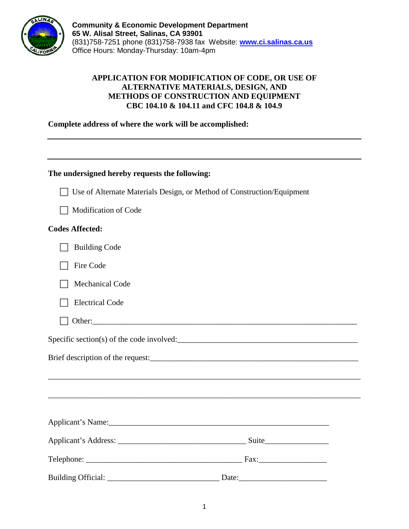

**Community & Economic Development Department 65 W. Alisal Street, Salinas, CA 93901** (831)758-7251 phone (831)758-7938 fax Website: **[www.ci.salinas.ca.us](http://www.ci.salinas.ca.us/index.cfm)** Office Hours: Monday-Thursday: 10am-4pm

## **APPLICATION FOR MODIFICATION OF CODE, OR USE OF ALTERNATIVE MATERIALS, DESIGN, AND METHODS OF CONSTRUCTION AND EQUIPMENT CBC 104.10 & 104.11 and CFC 104.8 & 104.9**

**Complete address of where the work will be accomplished:**

| The undersigned hereby requests the following:                         |                                                                                  |
|------------------------------------------------------------------------|----------------------------------------------------------------------------------|
| Use of Alternate Materials Design, or Method of Construction/Equipment |                                                                                  |
| Modification of Code                                                   |                                                                                  |
| <b>Codes Affected:</b>                                                 |                                                                                  |
| <b>Building Code</b>                                                   |                                                                                  |
| Fire Code                                                              |                                                                                  |
| <b>Mechanical Code</b>                                                 |                                                                                  |
| <b>Electrical Code</b>                                                 |                                                                                  |
|                                                                        |                                                                                  |
|                                                                        |                                                                                  |
|                                                                        |                                                                                  |
|                                                                        |                                                                                  |
|                                                                        | ,我们也不会有什么。""我们的人,我们也不会有什么?""我们的人,我们也不会有什么?""我们的人,我们也不会有什么?""我们的人,我们也不会有什么?""我们的人 |
|                                                                        |                                                                                  |
|                                                                        |                                                                                  |
|                                                                        |                                                                                  |
|                                                                        |                                                                                  |
| Building Official:                                                     | Date: $\frac{1}{2}$ Date:                                                        |